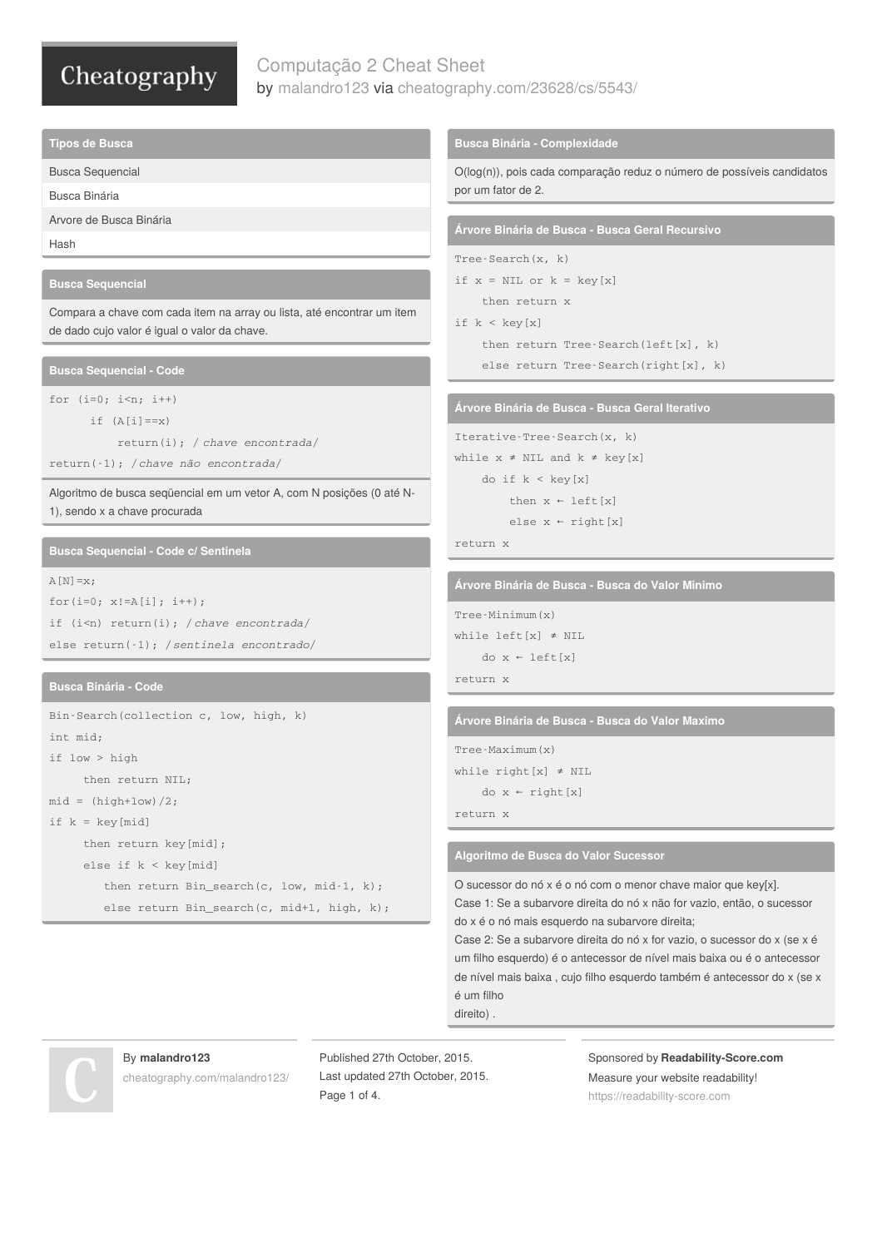# Computação 2 Cheat Sheet by [malandro123](http://www.cheatography.com/malandro123/) via [cheatography.com/23628/cs/5543/](http://www.cheatography.com/malandro123/cheat-sheets/computacao-2)

**Tipos de Busca**

Busca Sequencial

Busca Binária

```
Arvore de Busca Binária
```
Hash

### **Busca Sequencial**

Compara a chave com cada item na array ou lista, até encontrar um item de dado cujo valor é igual o valor da chave.

**Busca Sequencial - Code**

```
for (i=0; i \le n; i++)if (A[i]=x)
```
return(i); / *chave encontrada*/

return(-1); /*chave não encontrada*/

Algoritmo de busca seqüencial em um vetor A, com N posições (0 até N-1), sendo x a chave procurada

**Busca Sequencial - Code c/ Sentinela**

```
A[N]=x;for(i=0; x != A[i]; i++);
if (i<n) return(i); / chave encontrada/
else return(-1); /sentinela encontrado/
```
### **Busca Binária - Code**

```
Bin-Search(collection c, low, high, k)
int mid;
if low > high
     then return NIL;
mid = (high+low)/2;if k = key[mid]then return key[mid];
     else if k < key[mid]
        then return Bin search(c, low, mid-1, k);
        else return Bin search(c, mid+1, high, k);
```
### **Busca Binária - Complexidade**

O(log(n)), pois cada comparação reduz o número de possíveis candidatos por um fator de 2.

**Árvore Binária de Busca - Busca Geral Recursivo**

```
Tree-Search(x, k)
```

```
if x = NIL or k = key[x]then return x
```

```
if k < key[x]
```
then return Tree-Search(left[x], k)

```
else return Tree-Search(right[x], k)
```
**Árvore Binária de Busca - Busca Geral Iterativo**

```
Iterative-Tree-Search(x, k)
while x \neq NIL and k \neq key[x]do if k < key[x]
          then x \leftarrow \text{left}[x]else x \leftarrow \text{right}[x]
```
### return x

**Árvore Binária de Busca - Busca do Valor Minimo**

```
Tree-Minimum(x)
while left[x] ≠ NIL
    do x ← left[x]
return x
```
**Árvore Binária de Busca - Busca do Valor Maximo**

```
Tree-Maximum(x)
while right[x] \neq NILdo x ← right[x]
```
return x

**Algoritmo de Busca do Valor Sucessor**

O sucessor do nó x é o nó com o menor chave maior que key[x]. Case 1: Se a subarvore direita do nó x não for vazio, então, o sucessor do x é o nó mais esquerdo na subarvore direita;

Case 2: Se a subarvore direita do nó x for vazio, o sucessor do x (se x é um filho esquerdo) é o antecessor de nível mais baixa ou é o antecessor de nível mais baixa , cujo filho esquerdo também é antecessor do x (se x é um filho

direito) .



# By **malandro123**

[cheatography.com/malandro123/](http://www.cheatography.com/malandro123/)

Published 27th October, 2015. Last updated 27th October, 2015. Page 1 of 4.

Sponsored by **Readability-Score.com** Measure your website readability! <https://readability-score.com>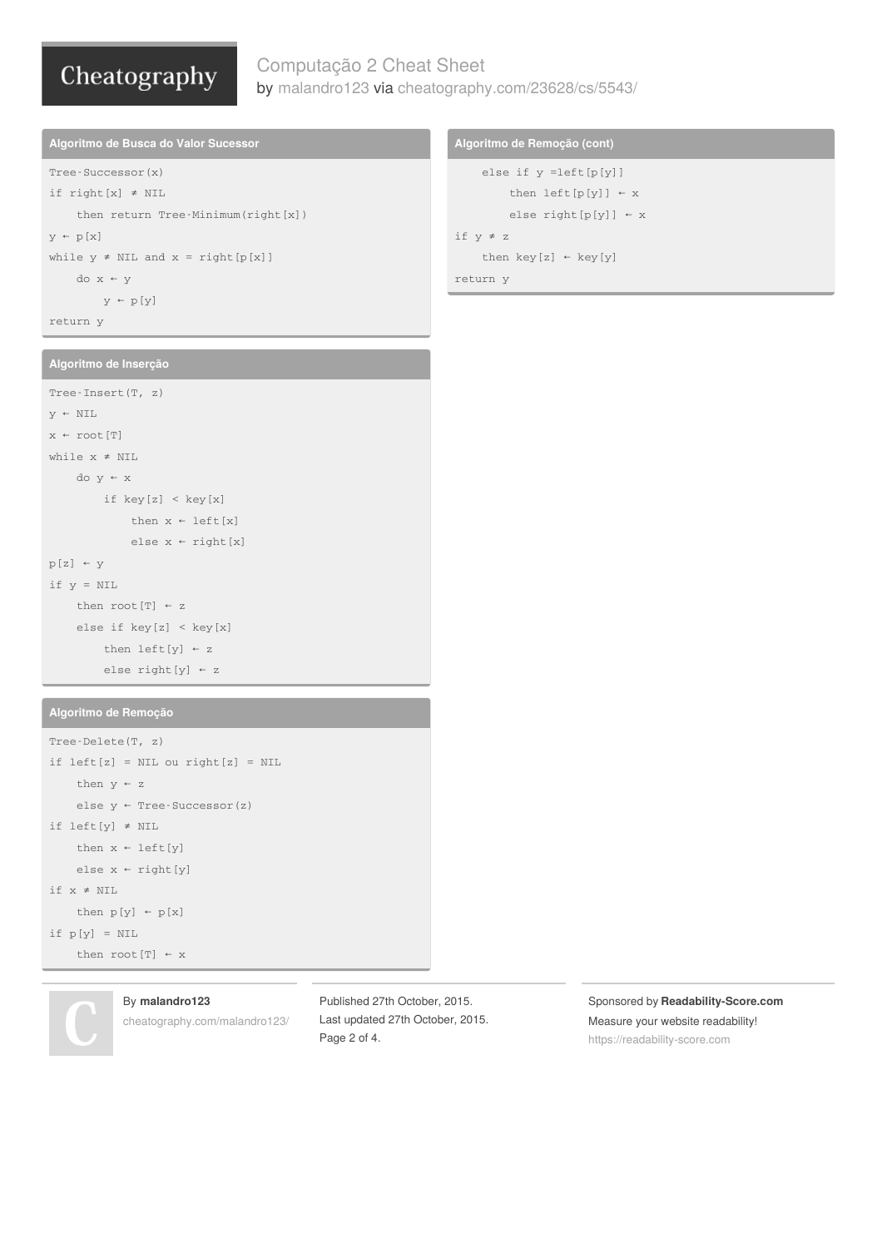# Computação 2 Cheat Sheet by [malandro123](http://www.cheatography.com/malandro123/) via [cheatography.com/23628/cs/5543/](http://www.cheatography.com/malandro123/cheat-sheets/computacao-2)

**Algoritmo de Busca do Valor Sucessor** Tree-Successor(x) if right[x] ≠ NIL then return Tree-Minimum(right[x])  $y \leftarrow p[x]$ while  $y \neq NIL$  and  $x = right[p[x]]$ do x ← y

 $y \leftarrow p[y]$ 

return y

## **Algoritmo de Inserção**

```
Tree-Insert(T, z)
y \leftarrow \text{NIL}x \leftarrow \text{root}[T]while x ≠ NIL
    do y ← x
         if key[z] < key[x]
              then x \leftarrow \text{left}[x]else x \leftarrow right[x]p[z] + yif y = NIL
    then root[T] ← z
     else if key[z] < key[x]
         then left[y] \leftarrow zelse right[y] ← z
```
### **Algoritmo de Remoção**

```
Tree-Delete(T, z)
if left[z] = NIL ou right[z] = NILthen y \leftarrow zelse y \leftarrow Tree-Successor(z)
if left[y] ≠ NIL
    then x \leftarrow \text{left}[y]else x \leftarrow right[y]if x ≠ NIL
    then p[y] \leftarrow p[x]if p[y] = NILthen root[T] \leftarrow x
```
## By **malandro123**

[cheatography.com/malandro123/](http://www.cheatography.com/malandro123/)

Published 27th October, 2015. Last updated 27th October, 2015. Page 2 of 4.

### Sponsored by **Readability-Score.com** Measure your website readability! <https://readability-score.com>

## **Algoritmo de Remoção (cont)**

```
else if y =left[p[y]]
         then left[p[y]] \leftarrow xelse right[p[y]] ← x
if y ≠ z
     then key[z] \leftarrow key[y]return y
```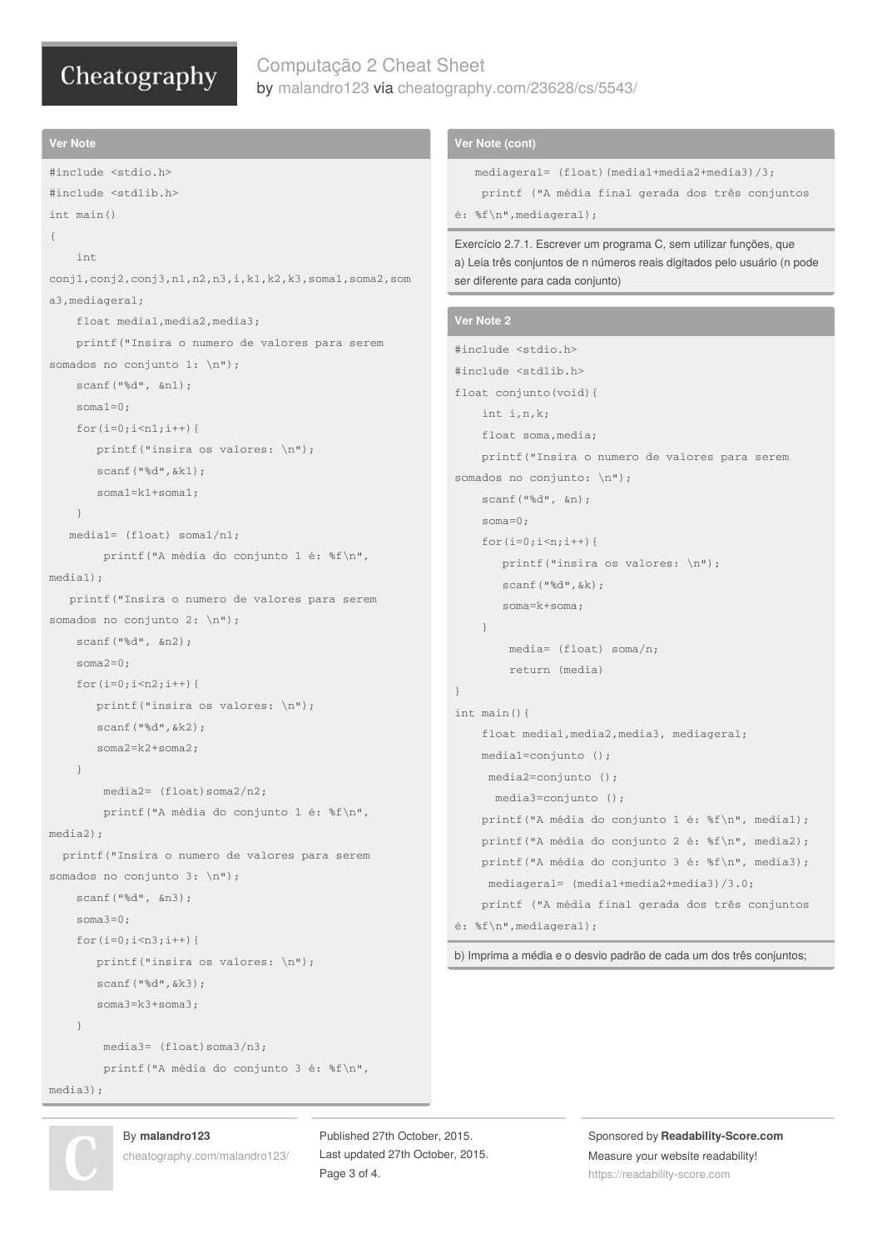# Computação 2 Cheat Sheet by [malandro123](http://www.cheatography.com/malandro123/) via [cheatography.com/23628/cs/5543/](http://www.cheatography.com/malandro123/cheat-sheets/computacao-2)

```
Ver Note
#include <stdio.h>
#include <stdlib.h>
int main()
{
    int
conj1,conj2,conj3,n1,n2,n3,i,k1,k2,k3,soma1,soma2,som
a3,mediageral;
    float media1,media2,media3;
    printf("Insira o numero de valores para serem
somados no conjunto 1: \n");
    scanf("%d", &n1);
    soma1=0;
    for(i=0;i < n1;i++){
       printf("insira os valores: \n");
       scanf("%d",&k1);
       soma1=k1+soma1;
    \overline{\mathfrak{z}}media1= (float) soma1/n1;
        printf("A média do conjunto 1 é: %f\n",
media1);
   printf("Insira o numero de valores para serem
somados no conjunto 2: \n");
    scanf("%d", &n2);
    soma2=0:
    for(i=0;i < n2;i + + ){
       printf("insira os valores: \n");
       scanf("%d",&k2);
       soma2=k2+soma2;
    }
        media2= (float)soma2/n2;
        printf("A média do conjunto 1 é: %f\n",
media2);
  printf("Insira o numero de valores para serem
somados no conjunto 3: \n");
    scanf("%d", &n3);
    soma3=0;
    for(i=0; i \leq n3; i++){
       printf("insira os valores: \n");
       scanf("%d",&k3);
       soma3=k3+soma3;
    }
        media3= (float)soma3/n3;
        printf("A média do conjunto 3 é: %f\n",
media3);
                                                                Ver Note (cont)
                                                                   mediageral= (float)(media1+media2+media3)/3;
                                                                    printf ("A média final gerada dos três conjuntos
                                                                é: %f\n",mediageral);
                                                                Exercício 2.7.1. Escrever um programa C, sem utilizar funções, que
                                                                a) Leia três conjuntos de n números reais digitados pelo usuário (n pode
                                                                ser diferente para cada conjunto)
                                                                Ver Note 2
                                                                #include <stdio.h>
                                                                #include <stdlib.h>
                                                                float conjunto(void){
                                                                    int i,n,k;
                                                                    float soma,media;
                                                                    printf("Insira o numero de valores para serem
                                                                somados no conjunto: \n");
                                                                    scanf("%d", &n);
                                                                    soma=0;
                                                                    for(i=0; i \le n; i++){
                                                                       printf("insira os valores: \n");
                                                                       scanf("%d",&k);
                                                                       soma=k+soma;
                                                                    }
                                                                        media= (float) soma/n;
                                                                         return (media)
                                                                }
                                                                int main(){
                                                                    float media1,media2,media3, mediageral;
                                                                    media1=conjunto ();
                                                                     media2=conjunto ();
                                                                      media3=conjunto ();
                                                                    printf("A média do conjunto 1 é: %f\n", media1);
                                                                    printf("A média do conjunto 2 é: %f\n", media2);
                                                                    printf("A média do conjunto 3 é: %f\n", media3);
                                                                     mediageral= (media1+media2+media3)/3.0;
                                                                    printf ("A média final gerada dos três conjuntos
                                                                é: %f\n",mediageral);
                                                                b) Imprima a média e o desvio padrão de cada um dos três conjuntos;
```


## By **malandro123**

[cheatography.com/malandro123/](http://www.cheatography.com/malandro123/)

Published 27th October, 2015. Last updated 27th October, 2015. Page 3 of 4.

Sponsored by **Readability-Score.com** Measure your website readability! <https://readability-score.com>